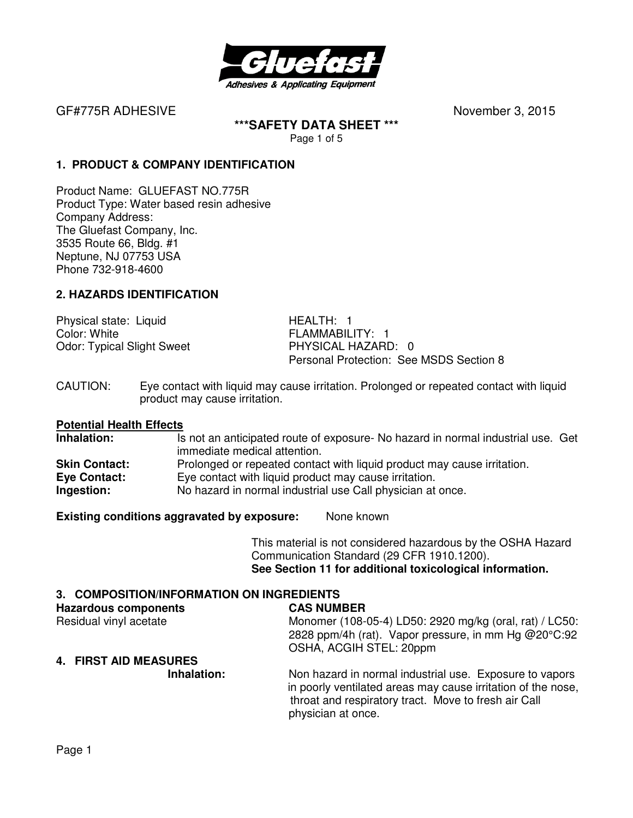

GF#775R ADHESIVE **BUSICE CONTRACTES November 3, 2015** 

**\*\*\*SAFETY DATA SHEET \*\*\***  Page 1 of 5

#### **1. PRODUCT & COMPANY IDENTIFICATION**

Product Name: GLUEFAST NO.775R Product Type: Water based resin adhesive Company Address: The Gluefast Company, Inc. 3535 Route 66, Bldg. #1 Neptune, NJ 07753 USA Phone 732-918-4600

#### **2. HAZARDS IDENTIFICATION**

Physical state: Liquid HEALTH: 1 Color: White **FLAMMABILITY:** 1 Odor: Typical Slight Sweet PHYSICAL HAZARD: 0

Personal Protection: See MSDS Section 8

CAUTION: Eye contact with liquid may cause irritation. Prolonged or repeated contact with liquid product may cause irritation.

# **Potential Health Effects**

Is not an anticipated route of exposure- No hazard in normal industrial use. Get immediate medical attention. **Skin Contact:** Prolonged or repeated contact with liquid product may cause irritation. **Eye Contact:** Eye contact with liquid product may cause irritation. **Ingestion:** No hazard in normal industrial use Call physician at once.

**Existing conditions aggravated by exposure:** None known

This material is not considered hazardous by the OSHA Hazard Communication Standard (29 CFR 1910.1200). **See Section 11 for additional toxicological information.** 

#### **3. COMPOSITION/INFORMATION ON INGREDIENTS**

| <b>Hazardous components</b>  | <b>CAS NUMBER</b>                                                                                                                                                                                     |
|------------------------------|-------------------------------------------------------------------------------------------------------------------------------------------------------------------------------------------------------|
| Residual vinyl acetate       | Monomer (108-05-4) LD50: 2920 mg/kg (oral, rat) / LC50:                                                                                                                                               |
|                              | 2828 ppm/4h (rat). Vapor pressure, in mm Hg @20°C:92                                                                                                                                                  |
|                              | OSHA, ACGIH STEL: 20ppm                                                                                                                                                                               |
| <b>4. FIRST AID MEASURES</b> |                                                                                                                                                                                                       |
| Inhalation:                  | Non hazard in normal industrial use. Exposure to vapors<br>in poorly ventilated areas may cause irritation of the nose,<br>throat and respiratory tract. Move to fresh air Call<br>physician at once. |
|                              |                                                                                                                                                                                                       |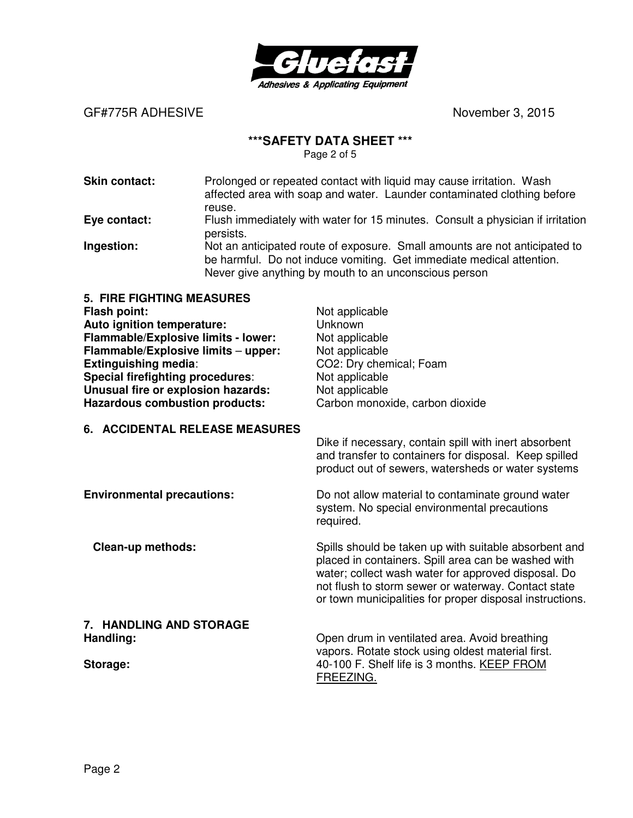

#### GF#775R ADHESIVE **BELACE ASSESSED ASSESSED ASSAULT November 3, 2015**

#### **\*\*\*SAFETY DATA SHEET \*\*\***

Page 2 of 5

| <b>Skin contact:</b>     | Prolonged or repeated contact with liquid may cause irritation. Wash<br>affected area with soap and water. Launder contaminated clothing before<br>reuse.                                                   |
|--------------------------|-------------------------------------------------------------------------------------------------------------------------------------------------------------------------------------------------------------|
| Eye contact:             | Flush immediately with water for 15 minutes. Consult a physician if irritation<br>persists.                                                                                                                 |
| Ingestion:               | Not an anticipated route of exposure. Small amounts are not anticipated to<br>be harmful. Do not induce vomiting. Get immediate medical attention.<br>Never give anything by mouth to an unconscious person |
| 5 FIRE FIGHTING MEASURES |                                                                                                                                                                                                             |

| Flash point:                               | Not applicable                                                                                                                                                       |
|--------------------------------------------|----------------------------------------------------------------------------------------------------------------------------------------------------------------------|
| Auto ignition temperature:                 | Unknown                                                                                                                                                              |
| <b>Flammable/Explosive limits - lower:</b> | Not applicable                                                                                                                                                       |
| Flammable/Explosive limits - upper:        | Not applicable                                                                                                                                                       |
| <b>Extinguishing media:</b>                | CO2: Dry chemical; Foam                                                                                                                                              |
| Special firefighting procedures:           | Not applicable                                                                                                                                                       |
| Unusual fire or explosion hazards:         | Not applicable                                                                                                                                                       |
| <b>Hazardous combustion products:</b>      | Carbon monoxide, carbon dioxide                                                                                                                                      |
| 6. ACCIDENTAL RELEASE MEASURES             |                                                                                                                                                                      |
|                                            | Dike if necessary, contain spill with inert absorbent<br>and transfer to containers for disposal. Keep spilled<br>product out of sewers, watersheds or water systems |
| <b>Environmental precautions:</b>          | Do not allow material to contaminate ground water                                                                                                                    |

system. No special environmental precautions required.

**Clean-up methods: Spills should be taken up with suitable absorbent and** 

**7. HANDLING AND STORAGE** 

**Handling: Handling: Compared Area.** Avoid breathing **Handling** vapors. Rotate stock using oldest material first. **Storage: 40-100 F. Shelf life is 3 months. KEEP FROM** FREEZING.

placed in containers. Spill area can be washed with water; collect wash water for approved disposal. Do not flush to storm sewer or waterway. Contact state or town municipalities for proper disposal instructions.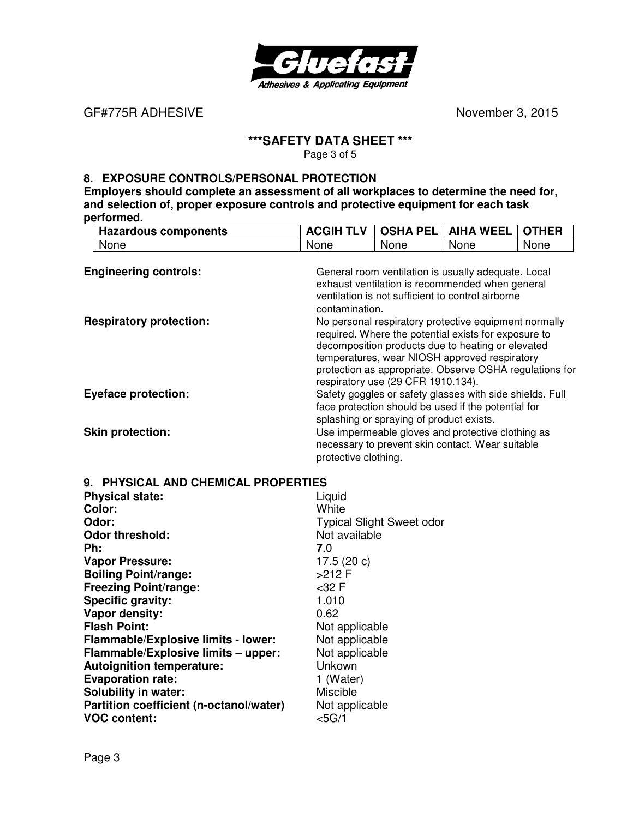

GF#775R ADHESIVE **BUSINE CONTACT ACCOUNT ACCOUNT ACCOUNT ACCOUNT ACCOUNT ACCOUNT ACCOUNT ACCOUNT ACCOUNT ACCOUNT ACCOUNT ACCOUNT ACCOUNT ACCOUNT ACCOUNT ACCOUNT ACCOUNT ACCOUNT ACCOUNT ACCOUNT ACCOUNT ACCOUNT ACCOUNT ACC** 

## **\*\*\*SAFETY DATA SHEET \*\*\***

Page 3 of 5

#### **8. EXPOSURE CONTROLS/PERSONAL PROTECTION**

**Employers should complete an assessment of all workplaces to determine the need for, and selection of, proper exposure controls and protective equipment for each task performed.** 

| <b>Hazardous components</b>    | <b>ACGIH TLV</b>                                                                                                                                                                                                                                                                                                     | <b>OSHA PEL</b>                          | <b>AIHA WEEL</b>                                                                                                                                            | <b>OTHER</b> |
|--------------------------------|----------------------------------------------------------------------------------------------------------------------------------------------------------------------------------------------------------------------------------------------------------------------------------------------------------------------|------------------------------------------|-------------------------------------------------------------------------------------------------------------------------------------------------------------|--------------|
| None                           | None                                                                                                                                                                                                                                                                                                                 | None                                     | None                                                                                                                                                        | None         |
| <b>Engineering controls:</b>   | contamination.                                                                                                                                                                                                                                                                                                       |                                          | General room ventilation is usually adequate. Local<br>exhaust ventilation is recommended when general<br>ventilation is not sufficient to control airborne |              |
| <b>Respiratory protection:</b> | No personal respiratory protective equipment normally<br>required. Where the potential exists for exposure to<br>decomposition products due to heating or elevated<br>temperatures, wear NIOSH approved respiratory<br>protection as appropriate. Observe OSHA regulations for<br>respiratory use (29 CFR 1910.134). |                                          |                                                                                                                                                             |              |
| <b>Eyeface protection:</b>     |                                                                                                                                                                                                                                                                                                                      | splashing or spraying of product exists. | Safety goggles or safety glasses with side shields. Full<br>face protection should be used if the potential for                                             |              |
| <b>Skin protection:</b>        | protective clothing.                                                                                                                                                                                                                                                                                                 |                                          | Use impermeable gloves and protective clothing as<br>necessary to prevent skin contact. Wear suitable                                                       |              |

| 9. PHYSICAL AND CHEMICAL PROPERTIES        |                                  |  |
|--------------------------------------------|----------------------------------|--|
| <b>Physical state:</b>                     | Liquid                           |  |
| Color:                                     | White                            |  |
| Odor:                                      | <b>Typical Slight Sweet odor</b> |  |
| <b>Odor threshold:</b>                     | Not available                    |  |
| Ph:                                        | 7.0                              |  |
| <b>Vapor Pressure:</b>                     | 17.5 $(20 c)$                    |  |
| <b>Boiling Point/range:</b>                | $>212$ F                         |  |
| <b>Freezing Point/range:</b>               | <32 F                            |  |
| Specific gravity:                          | 1.010                            |  |
| Vapor density:                             | 0.62                             |  |
| <b>Flash Point:</b>                        | Not applicable                   |  |
| <b>Flammable/Explosive limits - lower:</b> | Not applicable                   |  |
| Flammable/Explosive limits - upper:        | Not applicable                   |  |
| <b>Autoignition temperature:</b>           | Unkown                           |  |
| <b>Evaporation rate:</b>                   | 1 (Water)                        |  |
| <b>Solubility in water:</b>                | Miscible                         |  |
| Partition coefficient (n-octanol/water)    | Not applicable                   |  |
| <b>VOC content:</b>                        | $<$ 5G/1                         |  |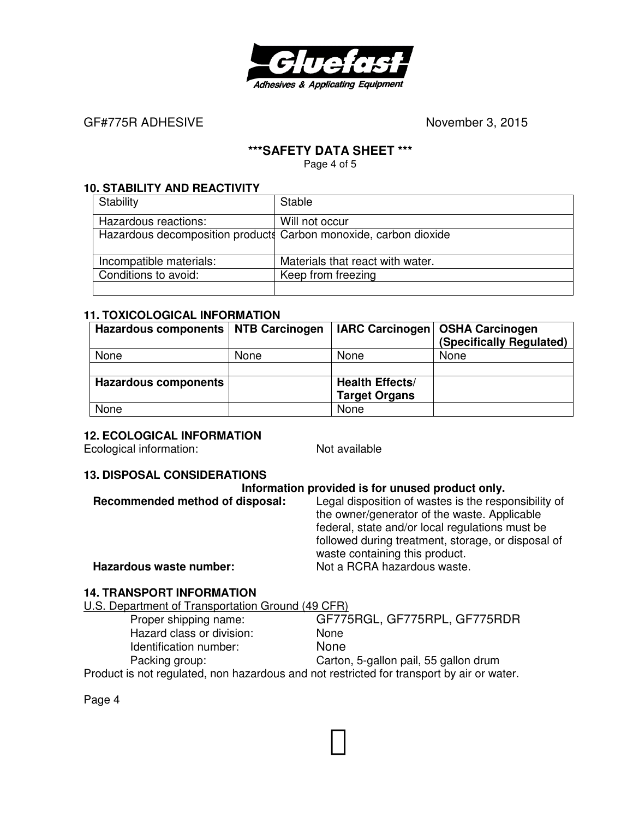

GF#775R ADHESIVE **BELACE ACCESS ASSESSED November 3, 2015** 

## **\*\*\*SAFETY DATA SHEET \*\*\***

Page 4 of 5

#### **10. STABILITY AND REACTIVITY**

| Stability                                                        | <b>Stable</b>                    |
|------------------------------------------------------------------|----------------------------------|
| Hazardous reactions:                                             | Will not occur                   |
| Hazardous decomposition products Carbon monoxide, carbon dioxide |                                  |
| Incompatible materials:                                          | Materials that react with water. |
| Conditions to avoid:                                             | Keep from freezing               |
|                                                                  |                                  |

#### **11. TOXICOLOGICAL INFORMATION**

| <b>Hazardous components</b> | <b>NTB Carcinogen</b> | <b>IARC Carcinogen</b> | <b>OSHA Carcinogen</b><br>(Specifically Regulated) |
|-----------------------------|-----------------------|------------------------|----------------------------------------------------|
| None                        | None                  | None                   | None                                               |
|                             |                       |                        |                                                    |
| <b>Hazardous components</b> |                       | <b>Health Effects/</b> |                                                    |
|                             |                       | <b>Target Organs</b>   |                                                    |
| None                        |                       | None                   |                                                    |

#### **12. ECOLOGICAL INFORMATION**

Ecological information: Not available

## **13. DISPOSAL CONSIDERATIONS**

| Information provided is for unused product only. |                                                                                                                                                         |  |
|--------------------------------------------------|---------------------------------------------------------------------------------------------------------------------------------------------------------|--|
| Recommended method of disposal:                  | Legal disposition of wastes is the responsibility of<br>the owner/generator of the waste. Applicable<br>federal, state and/or local regulations must be |  |
| Hazardous waste number:                          | followed during treatment, storage, or disposal of<br>waste containing this product.<br>Not a RCRA hazardous waste.                                     |  |

## **14. TRANSPORT INFORMATION**

U.S. Department of Transportation Ground (49 CFR)

 Hazard class or division: None Identification number: None

 Proper shipping name: GF775RGL, GF775RPL, GF775RDR Packing group: Carton, 5-gallon pail, 55 gallon drum

Product is not regulated, non hazardous and not restricted for transport by air or water.

Page 4